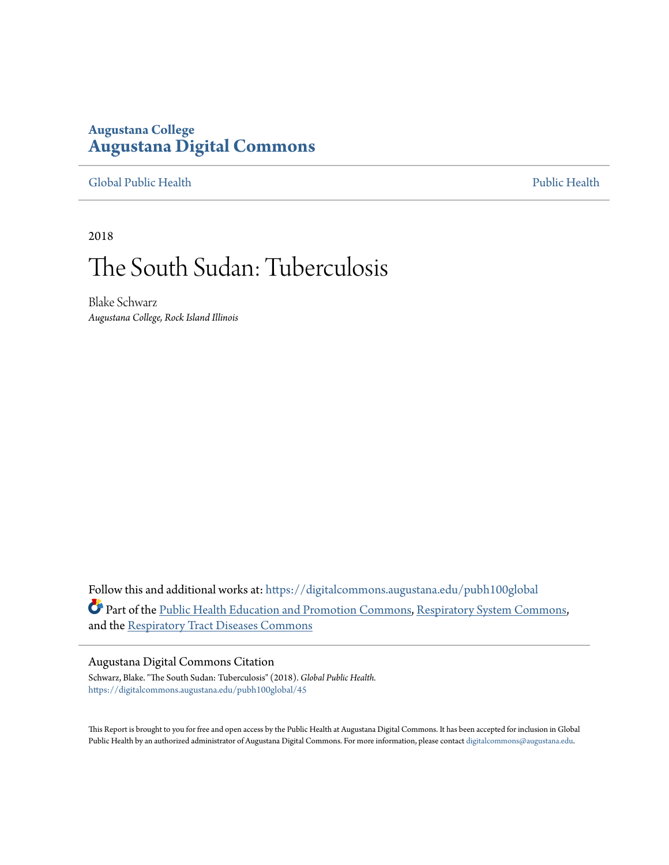### **Augustana College [Augustana Digital Commons](https://digitalcommons.augustana.edu?utm_source=digitalcommons.augustana.edu%2Fpubh100global%2F45&utm_medium=PDF&utm_campaign=PDFCoverPages)**

### [Global Public Health](https://digitalcommons.augustana.edu/pubh100global?utm_source=digitalcommons.augustana.edu%2Fpubh100global%2F45&utm_medium=PDF&utm_campaign=PDFCoverPages) [Public Health](https://digitalcommons.augustana.edu/publichealth?utm_source=digitalcommons.augustana.edu%2Fpubh100global%2F45&utm_medium=PDF&utm_campaign=PDFCoverPages)

2018

## The South Sudan: Tuberculosis

Blake Schwarz *Augustana College, Rock Island Illinois*

Follow this and additional works at: [https://digitalcommons.augustana.edu/pubh100global](https://digitalcommons.augustana.edu/pubh100global?utm_source=digitalcommons.augustana.edu%2Fpubh100global%2F45&utm_medium=PDF&utm_campaign=PDFCoverPages) Part of the [Public Health Education and Promotion Commons,](http://network.bepress.com/hgg/discipline/743?utm_source=digitalcommons.augustana.edu%2Fpubh100global%2F45&utm_medium=PDF&utm_campaign=PDFCoverPages) [Respiratory System Commons,](http://network.bepress.com/hgg/discipline/919?utm_source=digitalcommons.augustana.edu%2Fpubh100global%2F45&utm_medium=PDF&utm_campaign=PDFCoverPages) and the [Respiratory Tract Diseases Commons](http://network.bepress.com/hgg/discipline/990?utm_source=digitalcommons.augustana.edu%2Fpubh100global%2F45&utm_medium=PDF&utm_campaign=PDFCoverPages)

#### Augustana Digital Commons Citation

Schwarz, Blake. "The South Sudan: Tuberculosis" (2018). *Global Public Health.* [https://digitalcommons.augustana.edu/pubh100global/45](https://digitalcommons.augustana.edu/pubh100global/45?utm_source=digitalcommons.augustana.edu%2Fpubh100global%2F45&utm_medium=PDF&utm_campaign=PDFCoverPages)

This Report is brought to you for free and open access by the Public Health at Augustana Digital Commons. It has been accepted for inclusion in Global Public Health by an authorized administrator of Augustana Digital Commons. For more information, please contact [digitalcommons@augustana.edu.](mailto:digitalcommons@augustana.edu)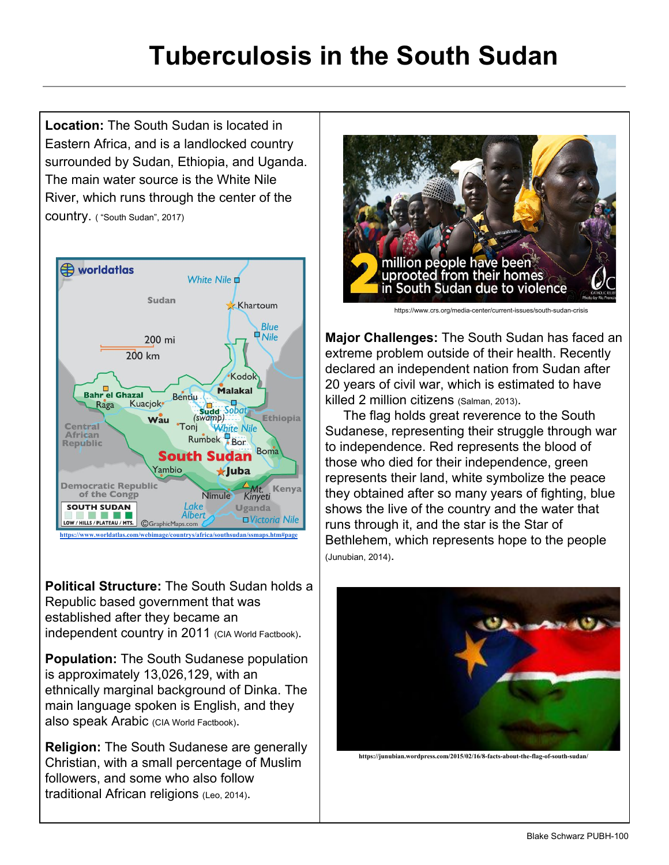# **Tuberculosis in the South Sudan**

**Location:** The South Sudan is located in Eastern Africa, and is a landlocked country surrounded by Sudan, Ethiopia, and Uganda. The main water source is the White Nile River, which runs through the center of the country. ( "South Sudan", 2017)



**Political Structure:** The South Sudan holds a Republic based government that was established after they became an independent country in 2011 (CIA World Factbook).

**Population:** The South Sudanese population is approximately 13,026,129, with an ethnically marginal background of Dinka. The main language spoken is English, and they also speak Arabic (CIA World Factbook).

**Religion:** The South Sudanese are generally Christian, with a small percentage of Muslim followers, and some who also follow traditional African religions (Leo, 2014).



https://www.crs.org/media-center/current-issues/south-sudan-crisis

**Major Challenges:** The South Sudan has faced an extreme problem outside of their health. Recently declared an independent nation from Sudan after 20 years of civil war, which is estimated to have killed 2 million citizens (Salman, 2013).

 The flag holds great reverence to the South Sudanese, representing their struggle through war to independence. Red represents the blood of those who died for their independence, green represents their land, white symbolize the peace they obtained after so many years of fighting, blue shows the live of the country and the water that runs through it, and the star is the Star of Bethlehem, which represents hope to the people (Junubian, 2014).



**https://junubian.wordpress.com/2015/02/16/8-facts-about-the-flag-of-south-sudan/**